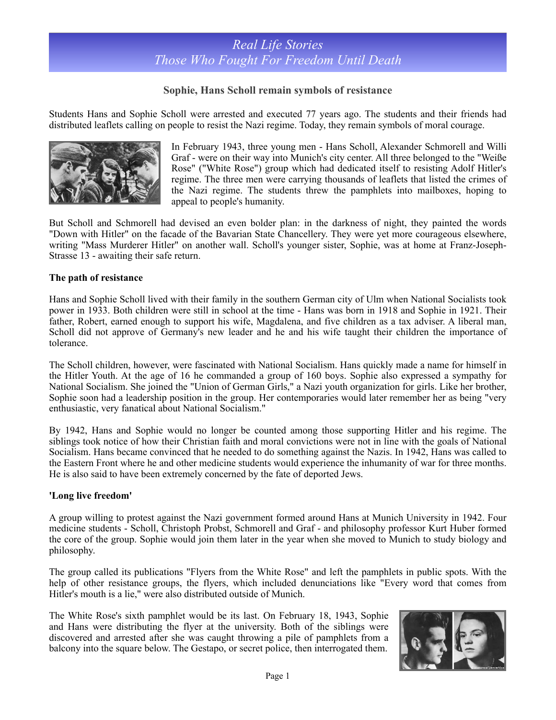### **Sophie, Hans Scholl remain symbols of resistance**

Students Hans and Sophie Scholl were arrested and executed 77 years ago. The students and their friends had distributed leaflets calling on people to resist the Nazi regime. Today, they remain symbols of moral courage.



In February 1943, three young men - Hans Scholl, Alexander Schmorell and Willi Graf - were on their way into Munich's city center. All three belonged to the "Weiße Rose" ("White Rose") group which had dedicated itself to resisting Adolf Hitler's regime. The three men were carrying thousands of leaflets that listed the crimes of the Nazi regime. The students threw the pamphlets into mailboxes, hoping to appeal to people's humanity.

But Scholl and Schmorell had devised an even bolder plan: in the darkness of night, they painted the words "Down with Hitler" on the facade of the Bavarian State Chancellery. They were yet more courageous elsewhere, writing "Mass Murderer Hitler" on another wall. Scholl's younger sister, Sophie, was at home at Franz-Joseph-Strasse 13 - awaiting their safe return.

#### **The path of resistance**

Hans and Sophie Scholl lived with their family in the southern German city of Ulm when National Socialists took power in 1933. Both children were still in school at the time - Hans was born in 1918 and Sophie in 1921. Their father, Robert, earned enough to support his wife, Magdalena, and five children as a tax adviser. A liberal man, Scholl did not approve of Germany's new leader and he and his wife taught their children the importance of tolerance.

The Scholl children, however, were fascinated with National Socialism. Hans quickly made a name for himself in the Hitler Youth. At the age of 16 he commanded a group of 160 boys. Sophie also expressed a sympathy for National Socialism. She joined the "Union of German Girls," a Nazi youth organization for girls. Like her brother, Sophie soon had a leadership position in the group. Her contemporaries would later remember her as being "very enthusiastic, very fanatical about National Socialism."

By 1942, Hans and Sophie would no longer be counted among those supporting Hitler and his regime. The siblings took notice of how their Christian faith and moral convictions were not in line with the goals of National Socialism. Hans became convinced that he needed to do something against the Nazis. In 1942, Hans was called to the Eastern Front where he and other medicine students would experience the inhumanity of war for three months. He is also said to have been extremely concerned by the fate of deported Jews.

#### **'Long live freedom'**

A group willing to protest against the Nazi government formed around Hans at Munich University in 1942. Four medicine students - Scholl, Christoph Probst, Schmorell and Graf - and philosophy professor Kurt Huber formed the core of the group. Sophie would join them later in the year when she moved to Munich to study biology and philosophy.

The group called its publications "Flyers from the White Rose" and left the pamphlets in public spots. With the help of other resistance groups, the flyers, which included denunciations like "Every word that comes from Hitler's mouth is a lie," were also distributed outside of Munich.

The White Rose's sixth pamphlet would be its last. On February 18, 1943, Sophie and Hans were distributing the flyer at the university. Both of the siblings were discovered and arrested after she was caught throwing a pile of pamphlets from a balcony into the square below. The Gestapo, or secret police, then interrogated them.

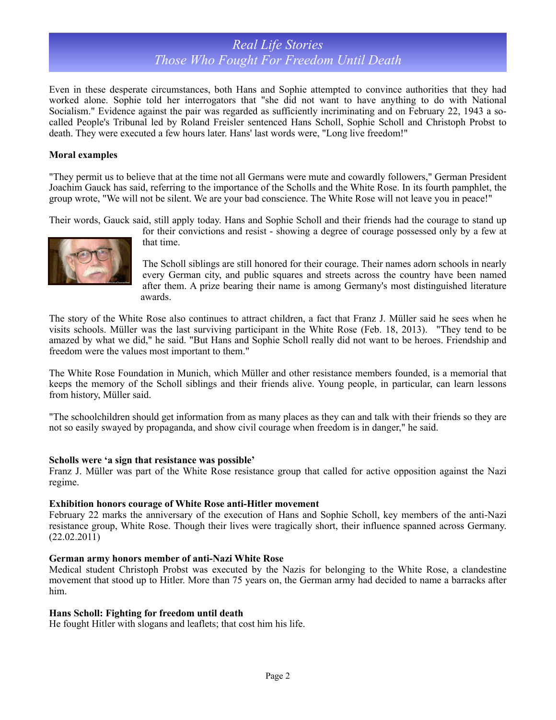## *Real Life Stories Those Who Fought For Freedom Until Death*

Even in these desperate circumstances, both Hans and Sophie attempted to convince authorities that they had worked alone. Sophie told her interrogators that "she did not want to have anything to do with National Socialism." Evidence against the pair was regarded as sufficiently incriminating and on February 22, 1943 a socalled People's Tribunal led by Roland Freisler sentenced Hans Scholl, Sophie Scholl and Christoph Probst to death. They were executed a few hours later. Hans' last words were, "Long live freedom!"

#### **Moral examples**

"They permit us to believe that at the time not all Germans were mute and cowardly followers," German President Joachim Gauck has said, referring to the importance of the Scholls and the White Rose. In its fourth pamphlet, the group wrote, "We will not be silent. We are your bad conscience. The White Rose will not leave you in peace!"

Their words, Gauck said, still apply today. Hans and Sophie Scholl and their friends had the courage to stand up



for their convictions and resist - showing a degree of courage possessed only by a few at that time.

The Scholl siblings are still honored for their courage. Their names adorn schools in nearly every German city, and public squares and streets across the country have been named after them. A prize bearing their name is among Germany's most distinguished literature awards.

The story of the White Rose also continues to attract children, a fact that Franz J. Müller said he sees when he visits schools. Müller was the last surviving participant in the White Rose (Feb. 18, 2013). "They tend to be amazed by what we did," he said. "But Hans and Sophie Scholl really did not want to be heroes. Friendship and freedom were the values most important to them."

The White Rose Foundation in Munich, which Müller and other resistance members founded, is a memorial that keeps the memory of the Scholl siblings and their friends alive. Young people, in particular, can learn lessons from history, Müller said.

"The schoolchildren should get information from as many places as they can and talk with their friends so they are not so easily swayed by propaganda, and show civil courage when freedom is in danger," he said.

#### **Scholls were 'a sign that resistance was possible'**

Franz J. Müller was part of the White Rose resistance group that called for active opposition against the Nazi regime.

#### **Exhibition honors courage of White Rose anti-Hitler movement**

February 22 marks the anniversary of the execution of Hans and Sophie Scholl, key members of the anti-Nazi resistance group, White Rose. Though their lives were tragically short, their influence spanned across Germany. (22.02.2011)

#### **German army honors member of anti-Nazi White Rose**

Medical student Christoph Probst was executed by the Nazis for belonging to the White Rose, a clandestine movement that stood up to Hitler. More than 75 years on, the German army had decided to name a barracks after him.

#### **Hans Scholl: Fighting for freedom until death**

He fought Hitler with slogans and leaflets; that cost him his life.